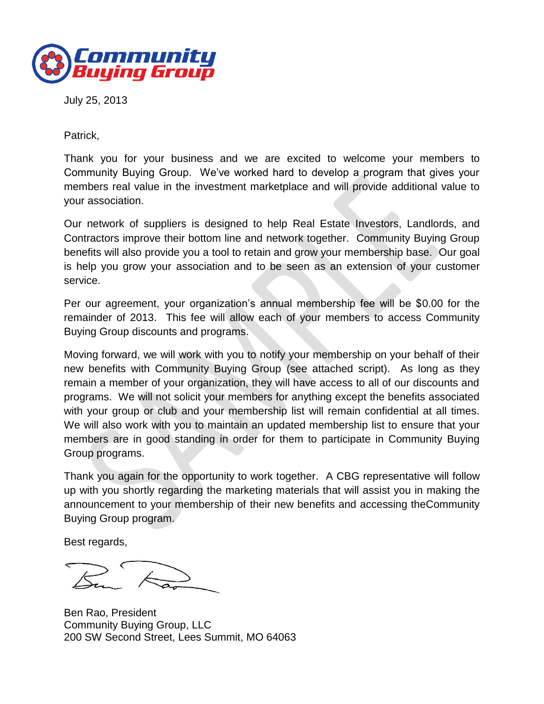

July 25, 2013

Patrick,

Thank you for your business and we are excited to welcome your members to Community Buying Group. We've worked hard to develop a program that gives your members real value in the investment marketplace and will provide additional value to your association.

Our network of suppliers is designed to help Real Estate Investors, Landlords, and Contractors improve their bottom line and network together. Community Buying Group benefits will also provide you a tool to retain and grow your membership base. Our goal is help you grow your association and to be seen as an extension of your customer service.

Per our agreement, your organization's annual membership fee will be \$0.00 for the remainder of 2013. This fee will allow each of your members to access Community Buying Group discounts and programs.

Moving forward, we will work with you to notify your membership on your behalf of their new benefits with Community Buying Group (see attached script). As long as they remain a member of your organization, they will have access to all of our discounts and programs. We will not solicit your members for anything except the benefits associated with your group or club and your membership list will remain confidential at all times. We will also work with you to maintain an updated membership list to ensure that your members are in good standing in order for them to participate in Community Buying Group programs.

Thank you again for the opportunity to work together. A CBG representative will follow up with you shortly regarding the marketing materials that will assist you in making the announcement to your membership of their new benefits and accessing theCommunity Buying Group program.

Best regards,

Ben Rao, President Community Buying Group, LLC 200 SW Second Street, Lees Summit, MO 64063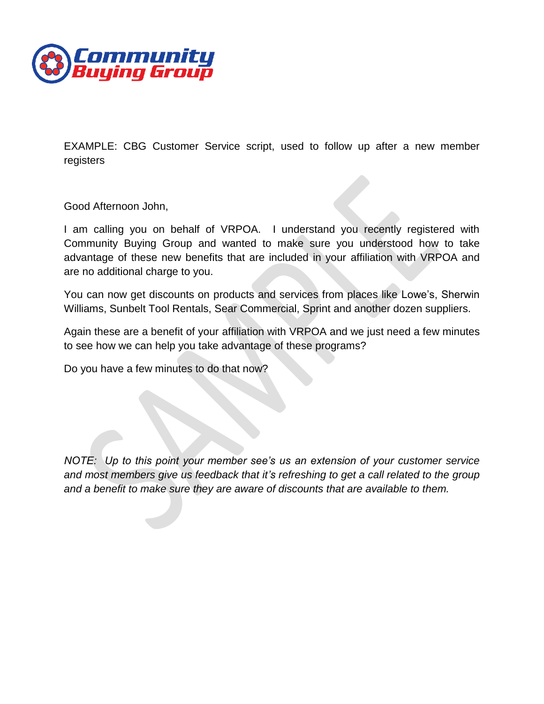

EXAMPLE: CBG Customer Service script, used to follow up after a new member registers

Good Afternoon John,

I am calling you on behalf of VRPOA. I understand you recently registered with Community Buying Group and wanted to make sure you understood how to take advantage of these new benefits that are included in your affiliation with VRPOA and are no additional charge to you.

You can now get discounts on products and services from places like Lowe's, Sherwin Williams, Sunbelt Tool Rentals, Sear Commercial, Sprint and another dozen suppliers.

Again these are a benefit of your affiliation with VRPOA and we just need a few minutes to see how we can help you take advantage of these programs?

Do you have a few minutes to do that now?

*NOTE: Up to this point your member see's us an extension of your customer service and most members give us feedback that it's refreshing to get a call related to the group and a benefit to make sure they are aware of discounts that are available to them.*